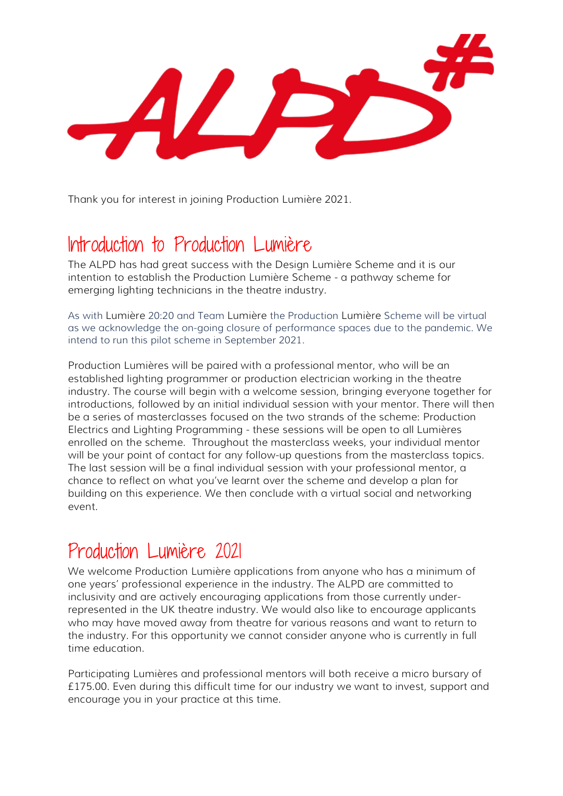Thank you for interest in joining Production Lumière 2021.

# Introduction to Production Lumière

The ALPD has had great success with the Design Lumière Scheme and it is our intention to establish the Production Lumière Scheme - a pathway scheme for emerging lighting technicians in the theatre industry.

As with Lumière 20:20 and Team Lumière the Production Lumière Scheme will be virtual as we acknowledge the on-going closure of performance spaces due to the pandemic. We intend to run this pilot scheme in September 2021.

Production Lumières will be paired with a professional mentor, who will be an established lighting programmer or production electrician working in the theatre industry. The course will begin with a welcome session, bringing everyone together for introductions, followed by an initial individual session with your mentor. There will then be a series of masterclasses focused on the two strands of the scheme: Production Electrics and Lighting Programming - these sessions will be open to all Lumières enrolled on the scheme. Throughout the masterclass weeks, your individual mentor will be your point of contact for any follow-up questions from the masterclass topics. The last session will be a final individual session with your professional mentor, a chance to reflect on what you've learnt over the scheme and develop a plan for building on this experience. We then conclude with a virtual social and networking event.

## Production Lumière 2021

We welcome Production Lumière applications from anyone who has a minimum of one years' professional experience in the industry. The ALPD are committed to inclusivity and are actively encouraging applications from those currently underrepresented in the UK theatre industry. We would also like to encourage applicants who may have moved away from theatre for various reasons and want to return to the industry. For this opportunity we cannot consider anyone who is currently in full time education.

Participating Lumières and professional mentors will both receive a micro bursary of £175.00. Even during this difficult time for our industry we want to invest, support and encourage you in your practice at this time.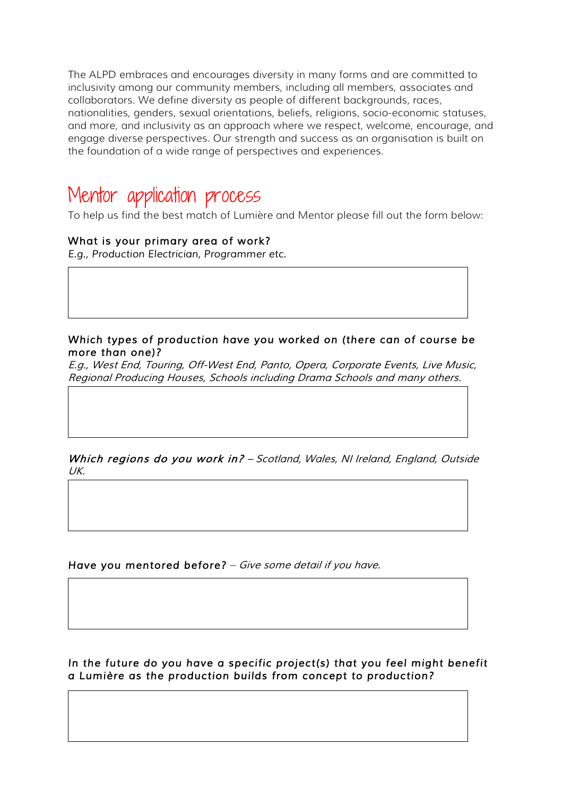The ALPD embraces and encourages diversity in many forms and are committed to inclusivity among our community members, including all members, associates and collaborators. We define diversity as people of different backgrounds, races, nationalities, genders, sexual orientations, beliefs, religions, socio-economic statuses, and more, and inclusivity as an approach where we respect, welcome, encourage, and engage diverse perspectives. Our strength and success as an organisation is built on the foundation of a wide range of perspectives and experiences.

### Mentor application process

To help us find the best match of Lumière and Mentor please fill out the form below:

#### *What is your primary area of work?*

*E.g., Production Electrician, Programmer etc.* 

#### *Which types of production have you worked on (there can of course be more than one)?*

*E.g., West End, Touring, Off-West End, Panto, Opera, Corporate Events, Live Music, Regional Producing Houses, Schools including Drama Schools and many others.* 

*Which regions do you work in? – Scotland, Wales, NI Ireland, England, Outside UK.*

*Have you mentored before? – Give some detail if you have.*

*In the future do you have a specific project(s) that you feel might benefit a Lumière as the production builds from concept to production?*